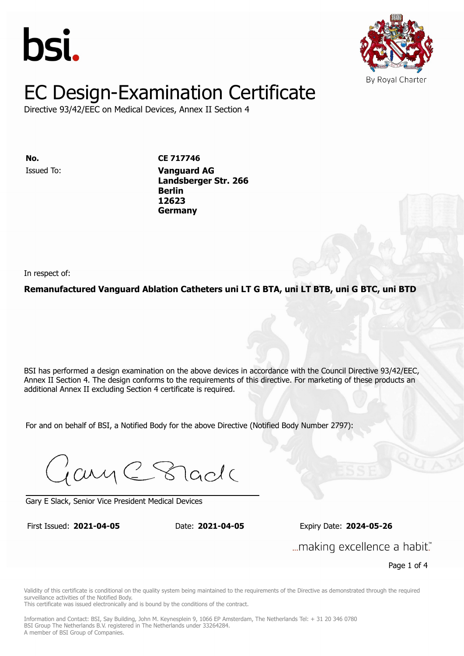



Directive 93/42/EEC on Medical Devices, Annex II Section 4

**ISSUED TO: CE 717746 Landsberger Str. 2666 Berlin** Issued To: **Vanguard AG 12623 Landsberger Str. 266 Berlin 12623 Germany**

In respect of:

#### **Remanufactured Vanguard Ablation Catheters uni LT G BTA, uni LT BTB, uni G BTC, uni BTD**

BSI has performed a design examination on the above devices in accordance with the Council Directive 93/42/EEC, Annex II Section 4. The design conforms to the requirements of this directive. For marketing of these products an additional Annex II excluding Section 4 certificate is required.

For and on behalf of BSI, a Notified Body for the above Directive (Notified Body Number 2797):

Gary C Stade

Gary E Slack, Senior Vice President Medical Devices

First Issued: **2021-04-05** Date: **2021-04-05** Expiry Date: **2024-05-26** First Issued: **2021-04-05** Date: **2021-04-05** Expiry Date: **2024-05-26**

... making excellence a habit."

Page 1 of 4

Validity of this certificate is conditional on the quality system being maintained to the requirements of the Directive as demonstrated through the required surveillance activities of the Notified Body.

This certificate was issued electronically and is bound by the conditions of the contract.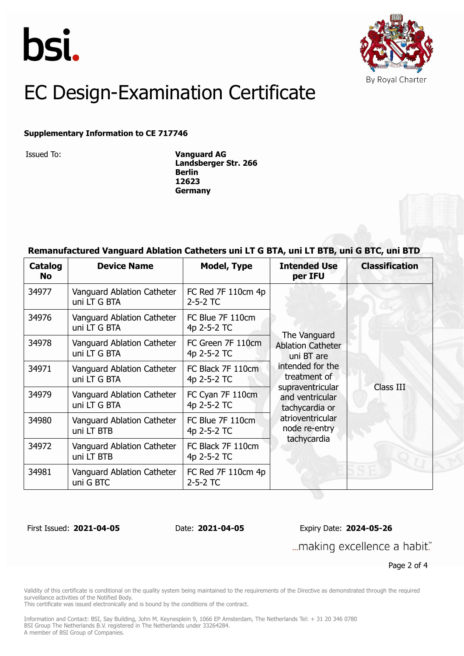



#### **Supplementary Information to CE 717746**

Issued To: **Vanguard AG Landsberger Str. 266 Berlin 12623 Germany**

### **Remanufactured Vanguard Ablation Catheters uni LT G BTA, uni LT BTB, uni G BTC, uni BTD**

| Catalog<br>No. | <b>Device Name</b>                         | <b>Model, Type</b>               | <b>Intended Use</b><br>per IFU                                                                                                                                                                          | <b>Classification</b> |
|----------------|--------------------------------------------|----------------------------------|---------------------------------------------------------------------------------------------------------------------------------------------------------------------------------------------------------|-----------------------|
| 34977          | Vanguard Ablation Catheter<br>uni LT G BTA | FC Red 7F 110cm 4p<br>$2-5-2$ TC | The Vanguard<br><b>Ablation Catheter</b><br>uni BT are<br>intended for the<br>treatment of<br>supraventricular<br>and ventricular<br>tachycardia or<br>atrioventricular<br>node re-entry<br>tachycardia | Class III             |
| 34976          | Vanguard Ablation Catheter<br>uni LT G BTA | FC Blue 7F 110cm<br>4p 2-5-2 TC  |                                                                                                                                                                                                         |                       |
| 34978          | Vanguard Ablation Catheter<br>uni LT G BTA | FC Green 7F 110cm<br>4p 2-5-2 TC |                                                                                                                                                                                                         |                       |
| 34971          | Vanguard Ablation Catheter<br>uni LT G BTA | FC Black 7F 110cm<br>4p 2-5-2 TC |                                                                                                                                                                                                         |                       |
| 34979          | Vanguard Ablation Catheter<br>uni LT G BTA | FC Cyan 7F 110cm<br>4p 2-5-2 TC  |                                                                                                                                                                                                         |                       |
| 34980          | Vanguard Ablation Catheter<br>uni LT BTB   | FC Blue 7F 110cm<br>4p 2-5-2 TC  |                                                                                                                                                                                                         |                       |
| 34972          | Vanguard Ablation Catheter<br>uni LT BTB   | FC Black 7F 110cm<br>4p 2-5-2 TC |                                                                                                                                                                                                         |                       |
| 34981          | Vanguard Ablation Catheter<br>uni G BTC    | FC Red 7F 110cm 4p<br>$2-5-2$ TC |                                                                                                                                                                                                         |                       |

First Issued: **2021-04-05** Date: **2021-04-05** Expiry Date: **2024-05-26** ... making excellence a habit."

Page 2 of 4

Validity of this certificate is conditional on the quality system being maintained to the requirements of the Directive as demonstrated through the required surveillance activities of the Notified Body.

This certificate was issued electronically and is bound by the conditions of the contract.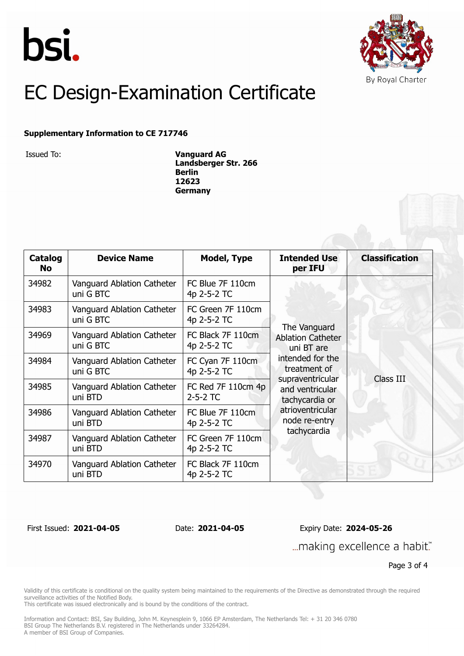



#### **Supplementary Information to CE 717746**

Issued To: **Vanguard AG Landsberger Str. 266 Berlin 12623 Germany**

| <b>Catalog</b><br><b>No</b> | <b>Device Name</b>                      | <b>Model, Type</b>               | <b>Intended Use</b><br>per IFU                                                                                                                                                                          | <b>Classification</b> |
|-----------------------------|-----------------------------------------|----------------------------------|---------------------------------------------------------------------------------------------------------------------------------------------------------------------------------------------------------|-----------------------|
| 34982                       | Vanguard Ablation Catheter<br>uni G BTC | FC Blue 7F 110cm<br>4p 2-5-2 TC  | The Vanguard<br><b>Ablation Catheter</b><br>uni BT are<br>intended for the<br>treatment of<br>supraventricular<br>and ventricular<br>tachycardia or<br>atrioventricular<br>node re-entry<br>tachycardia | Class III             |
| 34983                       | Vanguard Ablation Catheter<br>uni G BTC | FC Green 7F 110cm<br>4p 2-5-2 TC |                                                                                                                                                                                                         |                       |
| 34969                       | Vanguard Ablation Catheter<br>uni G BTC | FC Black 7F 110cm<br>4p 2-5-2 TC |                                                                                                                                                                                                         |                       |
| 34984                       | Vanguard Ablation Catheter<br>uni G BTC | FC Cyan 7F 110cm<br>4p 2-5-2 TC  |                                                                                                                                                                                                         |                       |
| 34985                       | Vanguard Ablation Catheter<br>uni BTD   | FC Red 7F 110cm 4p<br>$2-5-2$ TC |                                                                                                                                                                                                         |                       |
| 34986                       | Vanguard Ablation Catheter<br>uni BTD   | FC Blue 7F 110cm<br>4p 2-5-2 TC  |                                                                                                                                                                                                         |                       |
| 34987                       | Vanguard Ablation Catheter<br>uni BTD   | FC Green 7F 110cm<br>4p 2-5-2 TC |                                                                                                                                                                                                         |                       |
| 34970                       | Vanguard Ablation Catheter<br>uni BTD   | FC Black 7F 110cm<br>4p 2-5-2 TC |                                                                                                                                                                                                         |                       |

First Issued: **2021-04-05** Date: **2021-04-05** Expiry Date: **2024-05-26** ... making excellence a habit."

Page 3 of 4

Validity of this certificate is conditional on the quality system being maintained to the requirements of the Directive as demonstrated through the required surveillance activities of the Notified Body.

This certificate was issued electronically and is bound by the conditions of the contract.